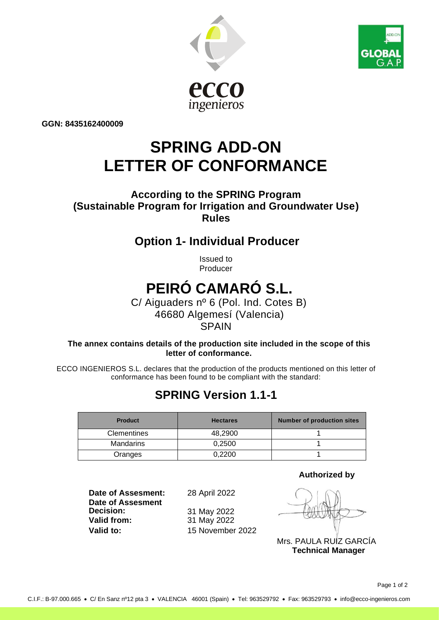



**GGN: 8435162400009**

## **SPRING ADD-ON LETTER OF CONFORMANCE**

#### **According to the SPRING Program (Sustainable Program for Irrigation and Groundwater Use) Rules**

### **Option 1- Individual Producer**

Issued to Producer

# **PEIRÓ CAMARÓ S.L.**

 C/ Aiguaders nº 6 (Pol. Ind. Cotes B) 46680 Algemesí (Valencia) **SPAIN** 

**The annex contains details of the production site included in the scope of this letter of conformance.**

ECCO INGENIEROS S.L. declares that the production of the products mentioned on this letter of conformance has been found to be compliant with the standard:

## **SPRING Version 1.1-1**

| <b>Product</b>     | <b>Hectares</b> | <b>Number of production sites</b> |
|--------------------|-----------------|-----------------------------------|
| <b>Clementines</b> | 48.2900         |                                   |
| Mandarins          | 0.2500          |                                   |
| Oranges            | 0.2200          |                                   |

**Date of Assesment:** 28 April 2022 **Date of Assesment Decision:** 31 May 2022<br> **Valid from:** 31 May 2022 **Valid to:** 15 November 2022

**Valid from:** 31 May 2022

**Authorized by**

Mrs. PAULA RUIZ GARCÍA **Technical Manager**